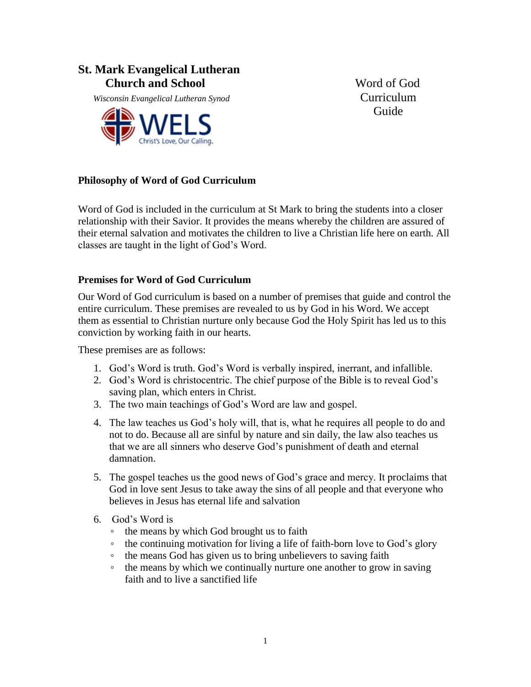### **St. Mark Evangelical Lutheran Church and School Word of God**

*Misconsin Evangelical Lutheran Synod* Curriculum



**Guide** 

### **Philosophy of Word of God Curriculum**

Word of God is included in the curriculum at St Mark to bring the students into a closer relationship with their Savior. It provides the means whereby the children are assured of their eternal salvation and motivates the children to live a Christian life here on earth. All classes are taught in the light of God's Word.

#### **Premises for Word of God Curriculum**

Our Word of God curriculum is based on a number of premises that guide and control the entire curriculum. These premises are revealed to us by God in his Word. We accept them as essential to Christian nurture only because God the Holy Spirit has led us to this conviction by working faith in our hearts.

These premises are as follows:

- 1. God's Word is truth. God's Word is verbally inspired, inerrant, and infallible.
- 2. God's Word is christocentric. The chief purpose of the Bible is to reveal God's saving plan, which enters in Christ.
- 3. The two main teachings of God's Word are law and gospel.
- 4. The law teaches us God's holy will, that is, what he requires all people to do and not to do. Because all are sinful by nature and sin daily, the law also teaches us that we are all sinners who deserve God's punishment of death and eternal damnation.
- 5. The gospel teaches us the good news of God's grace and mercy. It proclaims that God in love sent Jesus to take away the sins of all people and that everyone who believes in Jesus has eternal life and salvation
- 6. God's Word is
	- the means by which God brought us to faith
	- the continuing motivation for living a life of faith-born love to God's glory
	- the means God has given us to bring unbelievers to saving faith
	- the means by which we continually nurture one another to grow in saving faith and to live a sanctified life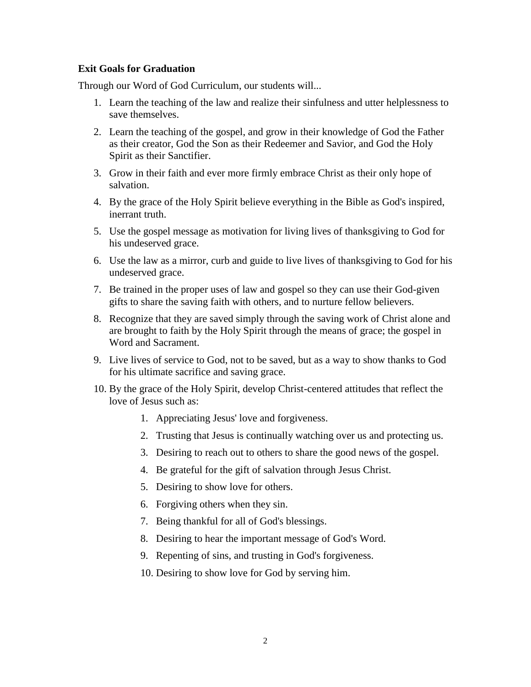#### **Exit Goals for Graduation**

Through our Word of God Curriculum, our students will...

- 1. Learn the teaching of the law and realize their sinfulness and utter helplessness to save themselves.
- 2. Learn the teaching of the gospel, and grow in their knowledge of God the Father as their creator, God the Son as their Redeemer and Savior, and God the Holy Spirit as their Sanctifier.
- 3. Grow in their faith and ever more firmly embrace Christ as their only hope of salvation.
- 4. By the grace of the Holy Spirit believe everything in the Bible as God's inspired, inerrant truth.
- 5. Use the gospel message as motivation for living lives of thanksgiving to God for his undeserved grace.
- 6. Use the law as a mirror, curb and guide to live lives of thanksgiving to God for his undeserved grace.
- 7. Be trained in the proper uses of law and gospel so they can use their God-given gifts to share the saving faith with others, and to nurture fellow believers.
- 8. Recognize that they are saved simply through the saving work of Christ alone and are brought to faith by the Holy Spirit through the means of grace; the gospel in Word and Sacrament.
- 9. Live lives of service to God, not to be saved, but as a way to show thanks to God for his ultimate sacrifice and saving grace.
- 10. By the grace of the Holy Spirit, develop Christ-centered attitudes that reflect the love of Jesus such as:
	- 1. Appreciating Jesus' love and forgiveness.
	- 2. Trusting that Jesus is continually watching over us and protecting us.
	- 3. Desiring to reach out to others to share the good news of the gospel.
	- 4. Be grateful for the gift of salvation through Jesus Christ.
	- 5. Desiring to show love for others.
	- 6. Forgiving others when they sin.
	- 7. Being thankful for all of God's blessings.
	- 8. Desiring to hear the important message of God's Word.
	- 9. Repenting of sins, and trusting in God's forgiveness.
	- 10. Desiring to show love for God by serving him.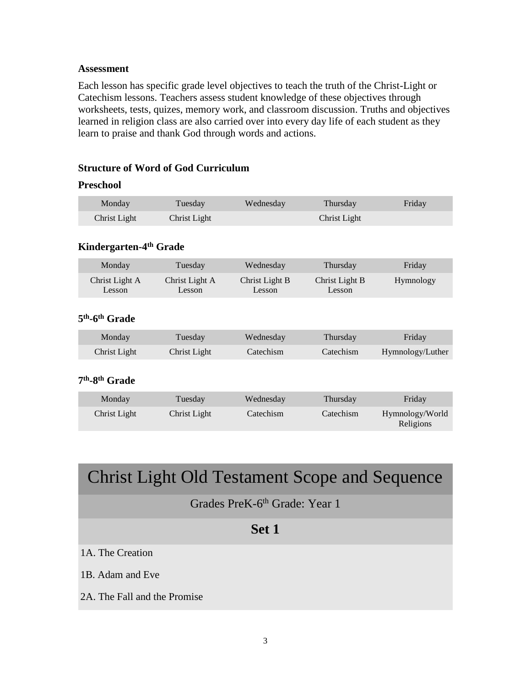#### **Assessment**

Each lesson has specific grade level objectives to teach the truth of the Christ-Light or Catechism lessons. Teachers assess student knowledge of these objectives through worksheets, tests, quizes, memory work, and classroom discussion. Truths and objectives learned in religion class are also carried over into every day life of each student as they learn to praise and thank God through words and actions.

### **Structure of Word of God Curriculum**

#### **Preschool**

| Monday       | Tuesday      | Wednesday | Thursday     | Friday |
|--------------|--------------|-----------|--------------|--------|
| Christ Light | Christ Light |           | Christ Light |        |

#### **Kindergarten-4 th Grade**

| Monday         | Tuesday        | Wednesday      | Thursday       | Friday    |
|----------------|----------------|----------------|----------------|-----------|
| Christ Light A | Christ Light A | Christ Light B | Christ Light B | Hymnology |
| Lesson         | Lesson         | Lesson         | Lesson         |           |

### **5 th -6 th Grade**

| Monday       | Tuesday      | Wednesday | Thursday  | Friday           |
|--------------|--------------|-----------|-----------|------------------|
| Christ Light | Christ Light | Catechism | Catechism | Hymnology/Luther |

### **7 th -8 th Grade**

| Monday       | Tuesday      | Wednesday | Thursdav  | Friday                       |
|--------------|--------------|-----------|-----------|------------------------------|
| Christ Light | Christ Light | Catechism | Catechism | Hymnology/World<br>Religions |

# Christ Light Old Testament Scope and Sequence

## Grades PreK-6<sup>th</sup> Grade: Year 1

## **Set 1**

### 1A. The Creation

1B. Adam and Eve

2A. The Fall and the Promise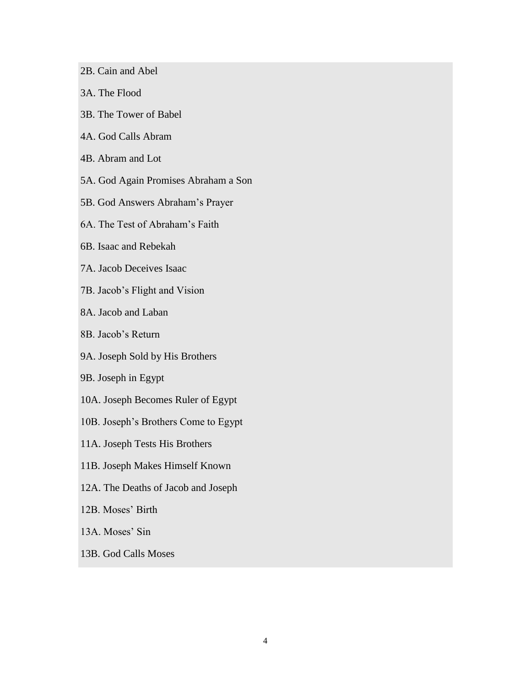- 2B. Cain and Abel
- 3A. The Flood
- 3B. The Tower of Babel
- 4A. God Calls Abram
- 4B. Abram and Lot
- 5A. God Again Promises Abraham a Son
- 5B. God Answers Abraham's Prayer
- 6A. The Test of Abraham's Faith
- 6B. Isaac and Rebekah
- 7A. Jacob Deceives Isaac
- 7B. Jacob's Flight and Vision
- 8A. Jacob and Laban
- 8B. Jacob's Return
- 9A. Joseph Sold by His Brothers
- 9B. Joseph in Egypt
- 10A. Joseph Becomes Ruler of Egypt
- 10B. Joseph's Brothers Come to Egypt
- 11A. Joseph Tests His Brothers
- 11B. Joseph Makes Himself Known
- 12A. The Deaths of Jacob and Joseph
- 12B. Moses' Birth
- 13A. Moses' Sin
- 13B. God Calls Moses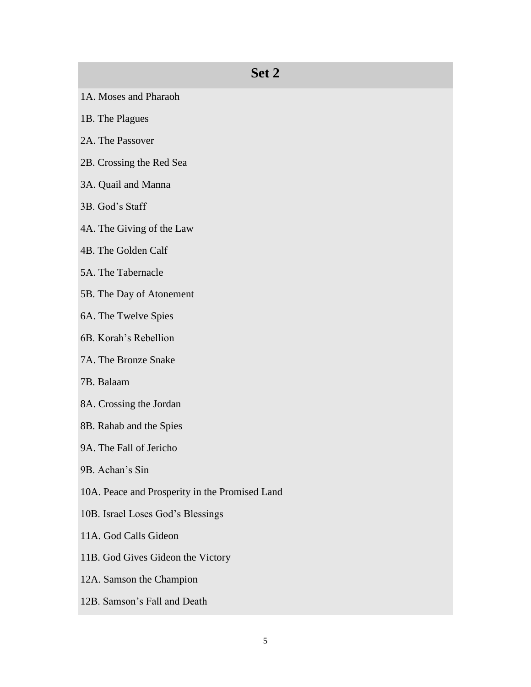- 1A. Moses and Pharaoh
- 1B. The Plagues
- 2A. The Passover
- 2B. Crossing the Red Sea
- 3A. Quail and Manna
- 3B. God's Staff
- 4A. The Giving of the Law
- 4B. The Golden Calf
- 5A. The Tabernacle
- 5B. The Day of Atonement
- 6A. The Twelve Spies
- 6B. Korah's Rebellion
- 7A. The Bronze Snake
- 7B. Balaam
- 8A. Crossing the Jordan
- 8B. Rahab and the Spies
- 9A. The Fall of Jericho
- 9B. Achan's Sin
- 10A. Peace and Prosperity in the Promised Land
- 10B. Israel Loses God's Blessings
- 11A. God Calls Gideon
- 11B. God Gives Gideon the Victory
- 12A. Samson the Champion
- 12B. Samson's Fall and Death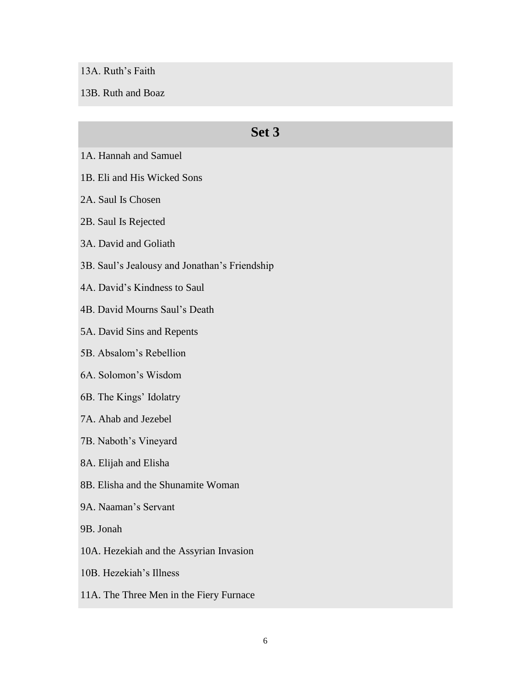13A. Ruth's Faith

13B. Ruth and Boaz

- 1A. Hannah and Samuel
- 1B. Eli and His Wicked Sons
- 2A. Saul Is Chosen
- 2B. Saul Is Rejected
- 3A. David and Goliath
- 3B. Saul's Jealousy and Jonathan's Friendship
- 4A. David's Kindness to Saul
- 4B. David Mourns Saul's Death
- 5A. David Sins and Repents
- 5B. Absalom's Rebellion
- 6A. Solomon's Wisdom
- 6B. The Kings' Idolatry
- 7A. Ahab and Jezebel
- 7B. Naboth's Vineyard
- 8A. Elijah and Elisha
- 8B. Elisha and the Shunamite Woman
- 9A. Naaman's Servant
- 9B. Jonah
- 10A. Hezekiah and the Assyrian Invasion
- 10B. Hezekiah's Illness
- 11A. The Three Men in the Fiery Furnace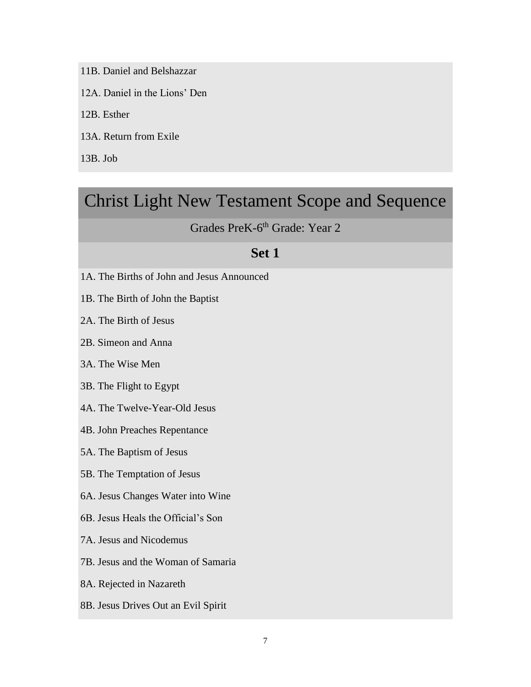11B. Daniel and Belshazzar

12A. Daniel in the Lions' Den

12B. Esther

13A. Return from Exile

13B. Job

## Christ Light New Testament Scope and Sequence

### Grades PreK-6<sup>th</sup> Grade: Year 2

- 1A. The Births of John and Jesus Announced
- 1B. The Birth of John the Baptist
- 2A. The Birth of Jesus
- 2B. Simeon and Anna
- 3A. The Wise Men
- 3B. The Flight to Egypt
- 4A. The Twelve-Year-Old Jesus
- 4B. John Preaches Repentance
- 5A. The Baptism of Jesus
- 5B. The Temptation of Jesus
- 6A. Jesus Changes Water into Wine
- 6B. Jesus Heals the Official's Son
- 7A. Jesus and Nicodemus
- 7B. Jesus and the Woman of Samaria
- 8A. Rejected in Nazareth
- 8B. Jesus Drives Out an Evil Spirit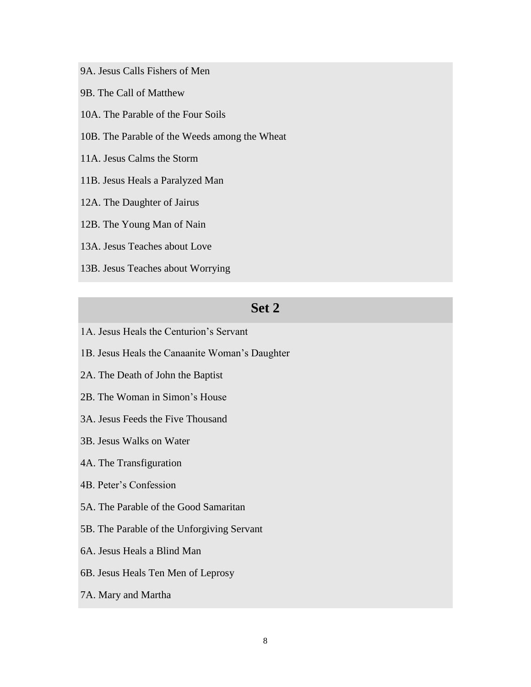- 9A. Jesus Calls Fishers of Men
- 9B. The Call of Matthew
- 10A. The Parable of the Four Soils
- 10B. The Parable of the Weeds among the Wheat
- 11A. Jesus Calms the Storm
- 11B. Jesus Heals a Paralyzed Man
- 12A. The Daughter of Jairus
- 12B. The Young Man of Nain
- 13A. Jesus Teaches about Love
- 13B. Jesus Teaches about Worrying

- 1A. Jesus Heals the Centurion's Servant
- 1B. Jesus Heals the Canaanite Woman's Daughter
- 2A. The Death of John the Baptist
- 2B. The Woman in Simon's House
- 3A. Jesus Feeds the Five Thousand
- 3B. Jesus Walks on Water
- 4A. The Transfiguration
- 4B. Peter's Confession
- 5A. The Parable of the Good Samaritan
- 5B. The Parable of the Unforgiving Servant
- 6A. Jesus Heals a Blind Man
- 6B. Jesus Heals Ten Men of Leprosy
- 7A. Mary and Martha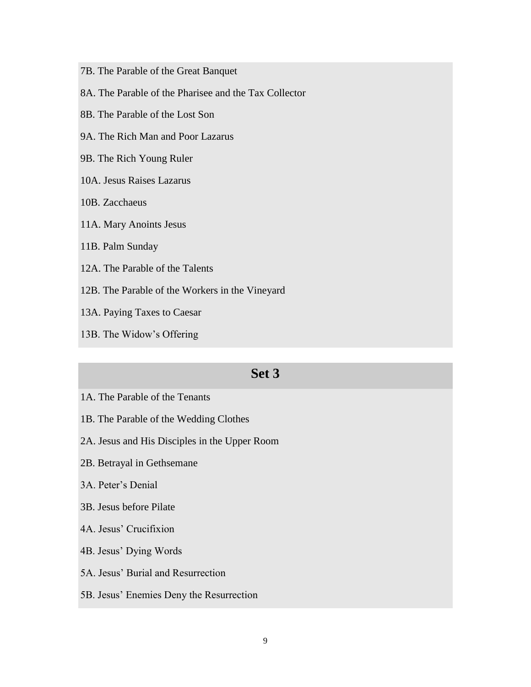- 7B. The Parable of the Great Banquet
- 8A. The Parable of the Pharisee and the Tax Collector
- 8B. The Parable of the Lost Son
- 9A. The Rich Man and Poor Lazarus
- 9B. The Rich Young Ruler
- 10A. Jesus Raises Lazarus
- 10B. Zacchaeus
- 11A. Mary Anoints Jesus
- 11B. Palm Sunday
- 12A. The Parable of the Talents
- 12B. The Parable of the Workers in the Vineyard
- 13A. Paying Taxes to Caesar
- 13B. The Widow's Offering

- 1A. The Parable of the Tenants
- 1B. The Parable of the Wedding Clothes
- 2A. Jesus and His Disciples in the Upper Room
- 2B. Betrayal in Gethsemane
- 3A. Peter's Denial
- 3B. Jesus before Pilate
- 4A. Jesus' Crucifixion
- 4B. Jesus' Dying Words
- 5A. Jesus' Burial and Resurrection
- 5B. Jesus' Enemies Deny the Resurrection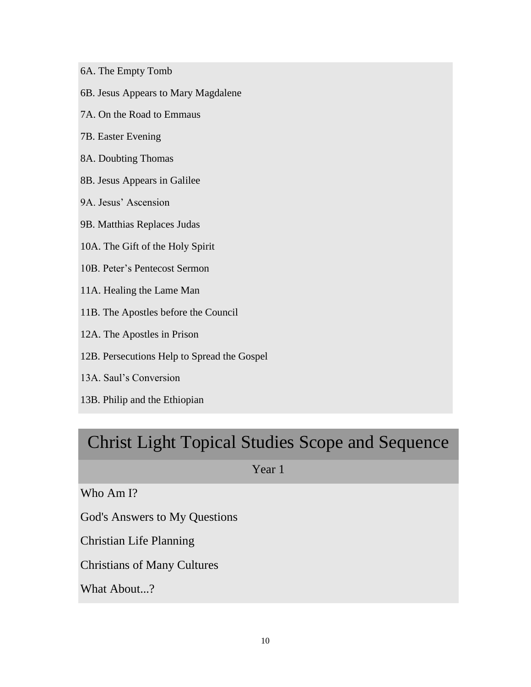- 6A. The Empty Tomb
- 6B. Jesus Appears to Mary Magdalene
- 7A. On the Road to Emmaus
- 7B. Easter Evening
- 8A. Doubting Thomas
- 8B. Jesus Appears in Galilee
- 9A. Jesus' Ascension
- 9B. Matthias Replaces Judas
- 10A. The Gift of the Holy Spirit
- 10B. Peter's Pentecost Sermon
- 11A. Healing the Lame Man
- 11B. The Apostles before the Council
- 12A. The Apostles in Prison
- 12B. Persecutions Help to Spread the Gospel
- 13A. Saul's Conversion
- 13B. Philip and the Ethiopian

# Christ Light Topical Studies Scope and Sequence

Year 1

Who Am I?

God's Answers to My Questions

Christian Life Planning

Christians of Many Cultures

What About...?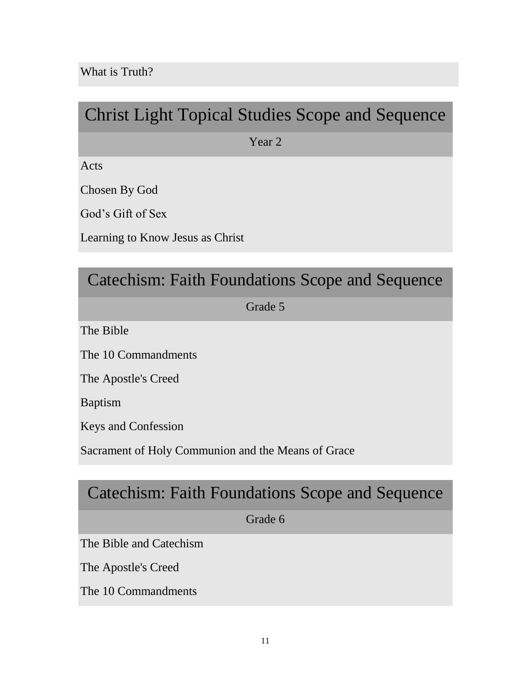# Christ Light Topical Studies Scope and Sequence

Year 2

Acts

Chosen By God

God's Gift of Sex

Learning to Know Jesus as Christ

## Catechism: Faith Foundations Scope and Sequence

Grade 5

The Bible

The 10 Commandments

The Apostle's Creed

Baptism

Keys and Confession

Sacrament of Holy Communion and the Means of Grace

## Catechism: Faith Foundations Scope and Sequence

Grade 6

The Bible and Catechism

The Apostle's Creed

The 10 Commandments